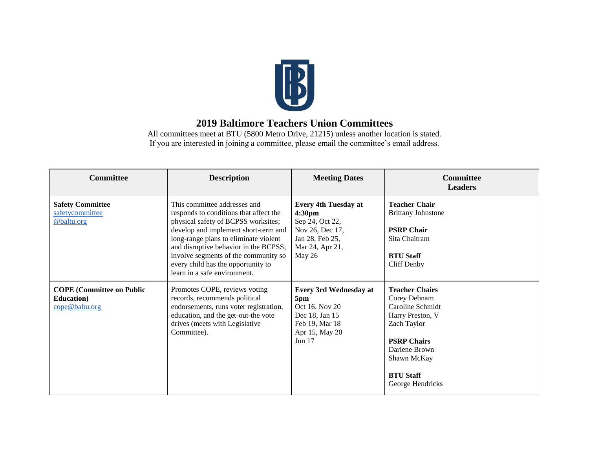

## **2019 Baltimore Teachers Union Committees**

All committees meet at BTU (5800 Metro Drive, 21215) unless another location is stated. If you are interested in joining a committee, please email the committee's email address.

| <b>Committee</b>                                                         | <b>Description</b>                                                                                                                                                                                                                                                                                                                                    | <b>Meeting Dates</b>                                                                                                                    | <b>Committee</b><br><b>Leaders</b>                                                                                                                                                         |
|--------------------------------------------------------------------------|-------------------------------------------------------------------------------------------------------------------------------------------------------------------------------------------------------------------------------------------------------------------------------------------------------------------------------------------------------|-----------------------------------------------------------------------------------------------------------------------------------------|--------------------------------------------------------------------------------------------------------------------------------------------------------------------------------------------|
| <b>Safety Committee</b><br>safetycommittee<br>@baltu.org                 | This committee addresses and<br>responds to conditions that affect the<br>physical safety of BCPSS worksites;<br>develop and implement short-term and<br>long-range plans to eliminate violent<br>and disruptive behavior in the BCPSS;<br>involve segments of the community so<br>every child has the opportunity to<br>learn in a safe environment. | <b>Every 4th Tuesday at</b><br>4:30 <sub>pm</sub><br>Sep 24, Oct 22,<br>Nov 26, Dec 17,<br>Jan 28, Feb 25,<br>Mar 24, Apr 21,<br>May 26 | <b>Teacher Chair</b><br><b>Brittany Johnstone</b><br><b>PSRP Chair</b><br>Sita Chaitram<br><b>BTU Staff</b><br>Cliff Denby                                                                 |
| <b>COPE</b> (Committee on Public<br><b>Education</b> )<br>cope@baltu.org | Promotes COPE, reviews voting<br>records, recommends political<br>endorsements, runs voter registration,<br>education, and the get-out-the vote<br>drives (meets with Legislative<br>Committee).                                                                                                                                                      | <b>Every 3rd Wednesday at</b><br>5pm<br>Oct 16, Nov 20<br>Dec 18, Jan 15<br>Feb 19, Mar 18<br>Apr 15, May 20<br>Jun $17$                | <b>Teacher Chairs</b><br>Corey Debnam<br>Caroline Schmidt<br>Harry Preston, V<br>Zach Taylor<br><b>PSRP Chairs</b><br>Darlene Brown<br>Shawn McKay<br><b>BTU Staff</b><br>George Hendricks |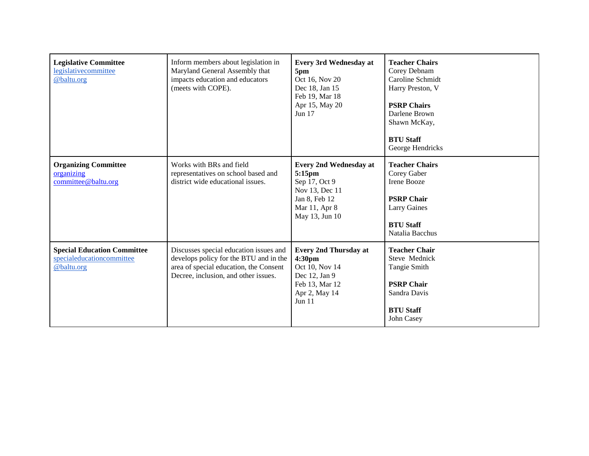| <b>Legislative Committee</b><br>legislativecommittee<br>@baltu.org            | Inform members about legislation in<br>Maryland General Assembly that<br>impacts education and educators<br>(meets with COPE).                                     | <b>Every 3rd Wednesday at</b><br>5pm<br>Oct 16, Nov 20<br>Dec 18, Jan 15<br>Feb 19, Mar 18<br>Apr 15, May 20<br>Jun 17         | <b>Teacher Chairs</b><br>Corey Debnam<br>Caroline Schmidt<br>Harry Preston, V<br><b>PSRP Chairs</b><br>Darlene Brown<br>Shawn McKay,<br><b>BTU Staff</b><br>George Hendricks |
|-------------------------------------------------------------------------------|--------------------------------------------------------------------------------------------------------------------------------------------------------------------|--------------------------------------------------------------------------------------------------------------------------------|------------------------------------------------------------------------------------------------------------------------------------------------------------------------------|
| <b>Organizing Committee</b><br>organizing<br>committee@baltu.org              | Works with BRs and field<br>representatives on school based and<br>district wide educational issues.                                                               | <b>Every 2nd Wednesday at</b><br>5:15pm<br>Sep 17, Oct 9<br>Nov 13, Dec 11<br>Jan 8, Feb 12<br>Mar 11, Apr 8<br>May 13, Jun 10 | <b>Teacher Chairs</b><br>Corey Gaber<br>Irene Booze<br><b>PSRP Chair</b><br><b>Larry Gaines</b><br><b>BTU Staff</b><br>Natalia Bacchus                                       |
| <b>Special Education Committee</b><br>specialeducationcommittee<br>@baltu.org | Discusses special education issues and<br>develops policy for the BTU and in the<br>area of special education, the Consent<br>Decree, inclusion, and other issues. | <b>Every 2nd Thursday at</b><br>4:30pm<br>Oct 10, Nov 14<br>Dec 12, Jan 9<br>Feb 13, Mar 12<br>Apr 2, May 14<br>Jun 11         | <b>Teacher Chair</b><br>Steve Mednick<br><b>Tangie Smith</b><br><b>PSRP Chair</b><br>Sandra Davis<br><b>BTU Staff</b><br>John Casey                                          |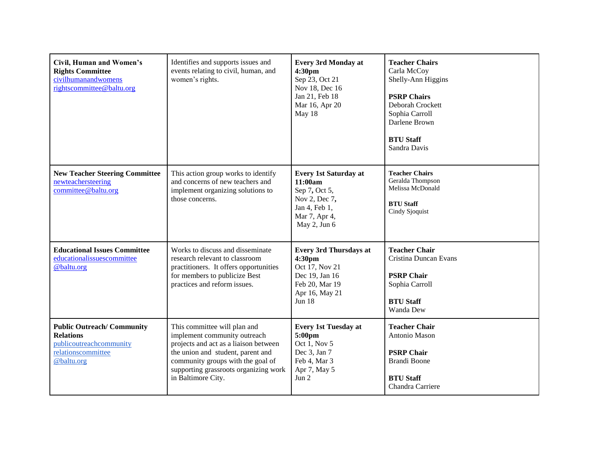| <b>Civil, Human and Women's</b><br><b>Rights Committee</b><br>civilhumanandwomens<br>rightscommittee@baltu.org      | Identifies and supports issues and<br>events relating to civil, human, and<br>women's rights.                                                                                                                                                  | <b>Every 3rd Monday at</b><br>4:30pm<br>Sep 23, Oct 21<br>Nov 18, Dec 16<br>Jan 21, Feb 18<br>Mar 16, Apr 20<br>May 18      | <b>Teacher Chairs</b><br>Carla McCoy<br>Shelly-Ann Higgins<br><b>PSRP Chairs</b><br>Deborah Crockett<br>Sophia Carroll<br>Darlene Brown<br><b>BTU Staff</b><br>Sandra Davis |
|---------------------------------------------------------------------------------------------------------------------|------------------------------------------------------------------------------------------------------------------------------------------------------------------------------------------------------------------------------------------------|-----------------------------------------------------------------------------------------------------------------------------|-----------------------------------------------------------------------------------------------------------------------------------------------------------------------------|
| <b>New Teacher Steering Committee</b><br>newteachersteering<br>committee@baltu.org                                  | This action group works to identify<br>and concerns of new teachers and<br>implement organizing solutions to<br>those concerns.                                                                                                                | <b>Every 1st Saturday at</b><br>11:00am<br>Sep 7, Oct 5,<br>Nov 2, Dec 7,<br>Jan 4, Feb 1,<br>Mar 7, Apr 4,<br>May 2, Jun 6 | <b>Teacher Chairs</b><br>Geralda Thompson<br>Melissa McDonald<br><b>BTU Staff</b><br>Cindy Sjoquist                                                                         |
| <b>Educational Issues Committee</b><br>educationalissuescommittee<br>@baltu.org                                     | Works to discuss and disseminate<br>research relevant to classroom<br>practitioners. It offers opportunities<br>for members to publicize Best<br>practices and reform issues.                                                                  | <b>Every 3rd Thursdays at</b><br>4:30pm<br>Oct 17, Nov 21<br>Dec 19, Jan 16<br>Feb 20, Mar 19<br>Apr 16, May 21<br>Jun 18   | <b>Teacher Chair</b><br>Cristina Duncan Evans<br><b>PSRP Chair</b><br>Sophia Carroll<br><b>BTU Staff</b><br>Wanda Dew                                                       |
| <b>Public Outreach/Community</b><br><b>Relations</b><br>publicoutreachcommunity<br>relationscommittee<br>@baltu.org | This committee will plan and<br>implement community outreach<br>projects and act as a liaison between<br>the union and student, parent and<br>community groups with the goal of<br>supporting grassroots organizing work<br>in Baltimore City. | <b>Every 1st Tuesday at</b><br>5:00pm<br>Oct 1, Nov 5<br>Dec 3, Jan 7<br>Feb 4, Mar 3<br>Apr 7, May 5<br>Jun 2              | <b>Teacher Chair</b><br>Antonio Mason<br><b>PSRP Chair</b><br><b>Brandi Boone</b><br><b>BTU Staff</b><br>Chandra Carriere                                                   |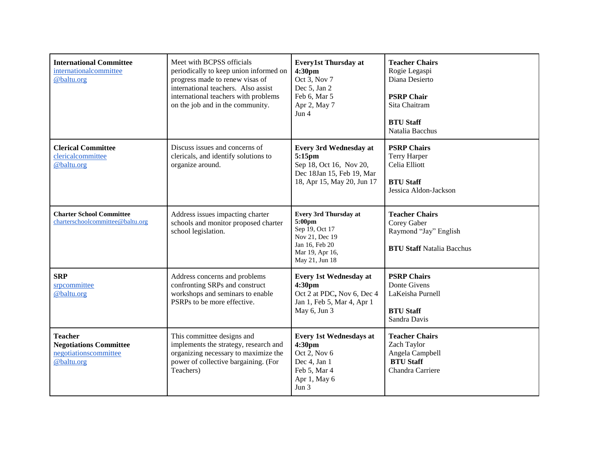| <b>International Committee</b><br>internationalcommittee<br>@baltu.org                 | Meet with BCPSS officials<br>periodically to keep union informed on<br>progress made to renew visas of<br>international teachers. Also assist<br>international teachers with problems<br>on the job and in the community. | <b>Every1st Thursday at</b><br>4:30pm<br>Oct 3, Nov 7<br>Dec 5, Jan 2<br>Feb 6, Mar 5<br>Apr 2, May 7<br>Jun $4$                  | <b>Teacher Chairs</b><br>Rogie Legaspi<br>Diana Desierto<br><b>PSRP Chair</b><br>Sita Chaitram<br><b>BTU Staff</b><br>Natalia Bacchus |
|----------------------------------------------------------------------------------------|---------------------------------------------------------------------------------------------------------------------------------------------------------------------------------------------------------------------------|-----------------------------------------------------------------------------------------------------------------------------------|---------------------------------------------------------------------------------------------------------------------------------------|
| <b>Clerical Committee</b><br>clericalcommittee<br>@baltu.org                           | Discuss issues and concerns of<br>clericals, and identify solutions to<br>organize around.                                                                                                                                | <b>Every 3rd Wednesday at</b><br>5:15pm<br>Sep 18, Oct 16, Nov 20,<br>Dec 18Jan 15, Feb 19, Mar<br>18, Apr 15, May 20, Jun 17     | <b>PSRP Chairs</b><br><b>Terry Harper</b><br>Celia Elliott<br><b>BTU Staff</b><br>Jessica Aldon-Jackson                               |
| <b>Charter School Committee</b><br>charterschoolcommittee@baltu.org                    | Address issues impacting charter<br>schools and monitor proposed charter<br>school legislation.                                                                                                                           | <b>Every 3rd Thursday at</b><br>5:00pm<br>Sep 19, Oct 17<br>Nov 21, Dec 19<br>Jan 16, Feb 20<br>Mar 19, Apr 16,<br>May 21, Jun 18 | <b>Teacher Chairs</b><br>Corey Gaber<br>Raymond "Jay" English<br><b>BTU Staff Natalia Bacchus</b>                                     |
| <b>SRP</b><br>srpcommittee<br>@baltu.org                                               | Address concerns and problems<br>confronting SRPs and construct<br>workshops and seminars to enable<br>PSRPs to be more effective.                                                                                        | <b>Every 1st Wednesday at</b><br>4:30pm<br>Oct 2 at PDC, Nov 6, Dec 4<br>Jan 1, Feb 5, Mar 4, Apr 1<br>May 6, Jun 3               | <b>PSRP Chairs</b><br>Donte Givens<br>LaKeisha Purnell<br><b>BTU Staff</b><br>Sandra Davis                                            |
| <b>Teacher</b><br><b>Negotiations Committee</b><br>negotiationscommittee<br>@baltu.org | This committee designs and<br>implements the strategy, research and<br>organizing necessary to maximize the<br>power of collective bargaining. (For<br>Teachers)                                                          | <b>Every 1st Wednesdays at</b><br>4:30pm<br>Oct 2, Nov 6<br>Dec 4, Jan 1<br>Feb 5, Mar 4<br>Apr 1, May 6<br>Jun $3$               | <b>Teacher Chairs</b><br>Zach Taylor<br>Angela Campbell<br><b>BTU Staff</b><br>Chandra Carriere                                       |